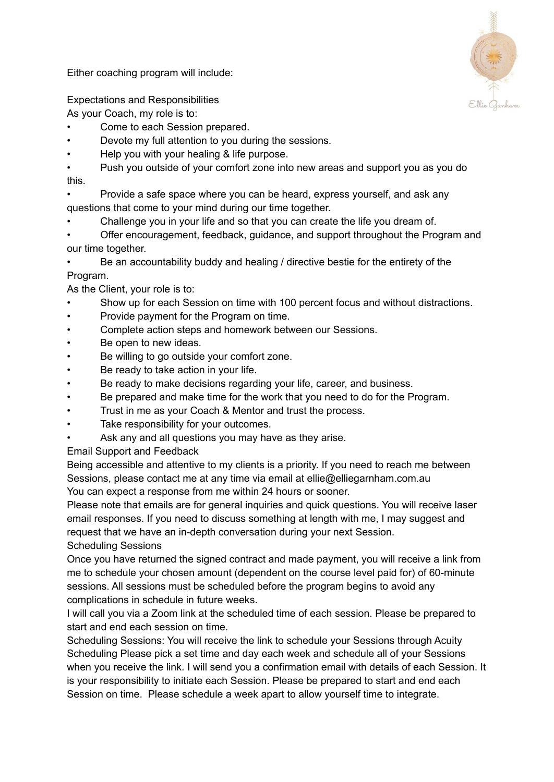Either coaching program will include:



Expectations and Responsibilities

As your Coach, my role is to:

- Come to each Session prepared.
- Devote my full attention to you during the sessions.
- Help you with your healing & life purpose.
- Push you outside of your comfort zone into new areas and support you as you do this.
- Provide a safe space where you can be heard, express yourself, and ask any questions that come to your mind during our time together.
- Challenge you in your life and so that you can create the life you dream of.
- Offer encouragement, feedback, guidance, and support throughout the Program and our time together.

• Be an accountability buddy and healing / directive bestie for the entirety of the Program.

As the Client, your role is to:

- Show up for each Session on time with 100 percent focus and without distractions.
- Provide payment for the Program on time.
- Complete action steps and homework between our Sessions.
- Be open to new ideas.
- Be willing to go outside your comfort zone.
- Be ready to take action in your life.
- Be ready to make decisions regarding your life, career, and business.
- Be prepared and make time for the work that you need to do for the Program.
- Trust in me as your Coach & Mentor and trust the process.
- Take responsibility for your outcomes.
- Ask any and all questions you may have as they arise.

Email Support and Feedback

Being accessible and attentive to my clients is a priority. If you need to reach me between Sessions, please contact me at any time via email at ellie@elliegarnham.com.au You can expect a response from me within 24 hours or sooner.

Please note that emails are for general inquiries and quick questions. You will receive laser email responses. If you need to discuss something at length with me, I may suggest and request that we have an in-depth conversation during your next Session.

Scheduling Sessions

Once you have returned the signed contract and made payment, you will receive a link from me to schedule your chosen amount (dependent on the course level paid for) of 60-minute sessions. All sessions must be scheduled before the program begins to avoid any complications in schedule in future weeks.

I will call you via a Zoom link at the scheduled time of each session. Please be prepared to start and end each session on time.

Scheduling Sessions: You will receive the link to schedule your Sessions through Acuity Scheduling Please pick a set time and day each week and schedule all of your Sessions when you receive the link. I will send you a confirmation email with details of each Session. It is your responsibility to initiate each Session. Please be prepared to start and end each Session on time. Please schedule a week apart to allow yourself time to integrate.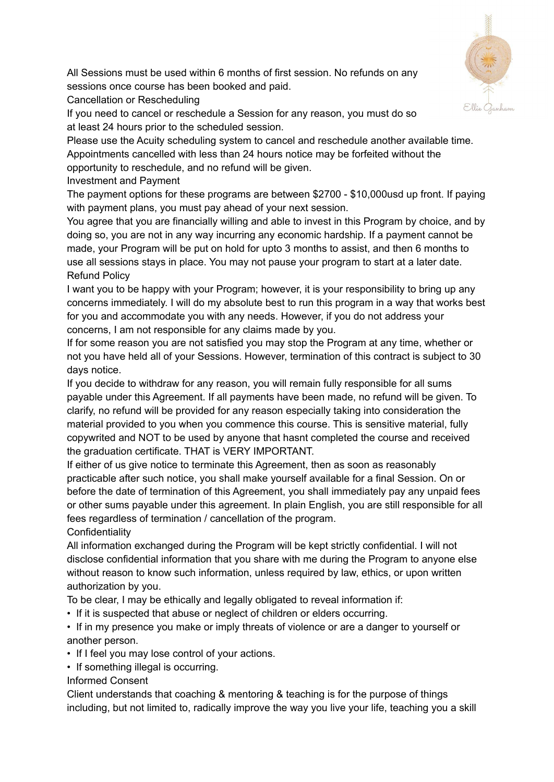

All Sessions must be used within 6 months of first session. No refunds on any sessions once course has been booked and paid.

Cancellation or Rescheduling

If you need to cancel or reschedule a Session for any reason, you must do so at least 24 hours prior to the scheduled session.

Please use the Acuity scheduling system to cancel and reschedule another available time. Appointments cancelled with less than 24 hours notice may be forfeited without the opportunity to reschedule, and no refund will be given.

Investment and Payment

The payment options for these programs are between \$2700 - \$10,000usd up front. If paying with payment plans, you must pay ahead of your next session.

You agree that you are financially willing and able to invest in this Program by choice, and by doing so, you are not in any way incurring any economic hardship. If a payment cannot be made, your Program will be put on hold for upto 3 months to assist, and then 6 months to use all sessions stays in place. You may not pause your program to start at a later date. Refund Policy

I want you to be happy with your Program; however, it is your responsibility to bring up any concerns immediately. I will do my absolute best to run this program in a way that works best for you and accommodate you with any needs. However, if you do not address your concerns, I am not responsible for any claims made by you.

If for some reason you are not satisfied you may stop the Program at any time, whether or not you have held all of your Sessions. However, termination of this contract is subject to 30 days notice.

If you decide to withdraw for any reason, you will remain fully responsible for all sums payable under this Agreement. If all payments have been made, no refund will be given. To clarify, no refund will be provided for any reason especially taking into consideration the material provided to you when you commence this course. This is sensitive material, fully copywrited and NOT to be used by anyone that hasnt completed the course and received the graduation certificate. THAT is VERY IMPORTANT.

If either of us give notice to terminate this Agreement, then as soon as reasonably practicable after such notice, you shall make yourself available for a final Session. On or before the date of termination of this Agreement, you shall immediately pay any unpaid fees or other sums payable under this agreement. In plain English, you are still responsible for all fees regardless of termination / cancellation of the program.

**Confidentiality** 

All information exchanged during the Program will be kept strictly confidential. I will not disclose confidential information that you share with me during the Program to anyone else without reason to know such information, unless required by law, ethics, or upon written authorization by you.

To be clear, I may be ethically and legally obligated to reveal information if:

- If it is suspected that abuse or neglect of children or elders occurring.
- If in my presence you make or imply threats of violence or are a danger to yourself or another person.
- If I feel you may lose control of your actions.
- If something illegal is occurring.

Informed Consent

Client understands that coaching & mentoring & teaching is for the purpose of things including, but not limited to, radically improve the way you live your life, teaching you a skill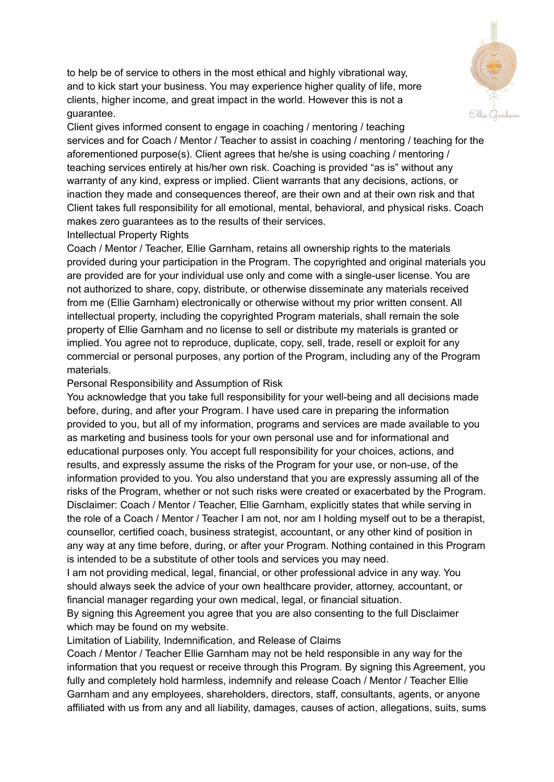to help be of service to others in the most ethical and highly vibrational way, and to kick start your business. You may experience higher quality of life, more clients, higher income, and great impact in the world. However this is not a guarantee.



Client gives informed consent to engage in coaching / mentoring / teaching services and for Coach / Mentor / Teacher to assist in coaching / mentoring / teaching for the aforementioned purpose(s). Client agrees that he/she is using coaching / mentoring / teaching services entirely at his/her own risk. Coaching is provided "as is" without any warranty of any kind, express or implied. Client warrants that any decisions, actions, or inaction they made and consequences thereof, are their own and at their own risk and that Client takes full responsibility for all emotional, mental, behavioral, and physical risks. Coach makes zero guarantees as to the results of their services.

### Intellectual Property Rights

Coach / Mentor / Teacher, Ellie Garnham, retains all ownership rights to the materials provided during your participation in the Program. The copyrighted and original materials you are provided are for your individual use only and come with a single-user license. You are not authorized to share, copy, distribute, or otherwise disseminate any materials received from me (Ellie Garnham) electronically or otherwise without my prior written consent. All intellectual property, including the copyrighted Program materials, shall remain the sole property of Ellie Garnham and no license to sell or distribute my materials is granted or implied. You agree not to reproduce, duplicate, copy, sell, trade, resell or exploit for any commercial or personal purposes, any portion of the Program, including any of the Program materials.

#### Personal Responsibility and Assumption of Risk

You acknowledge that you take full responsibility for your well-being and all decisions made before, during, and after your Program. I have used care in preparing the information provided to you, but all of my information, programs and services are made available to you as marketing and business tools for your own personal use and for informational and educational purposes only. You accept full responsibility for your choices, actions, and results, and expressly assume the risks of the Program for your use, or non-use, of the information provided to you. You also understand that you are expressly assuming all of the risks of the Program, whether or not such risks were created or exacerbated by the Program. Disclaimer: Coach / Mentor / Teacher, Ellie Garnham, explicitly states that while serving in the role of a Coach / Mentor / Teacher I am not, nor am I holding myself out to be a therapist, counsellor, certified coach, business strategist, accountant, or any other kind of position in any way at any time before, during, or after your Program. Nothing contained in this Program is intended to be a substitute of other tools and services you may need.

I am not providing medical, legal, financial, or other professional advice in any way. You should always seek the advice of your own healthcare provider, attorney, accountant, or financial manager regarding your own medical, legal, or financial situation.

By signing this Agreement you agree that you are also consenting to the full Disclaimer which may be found on my website.

### Limitation of Liability, Indemnification, and Release of Claims

Coach / Mentor / Teacher Ellie Garnham may not be held responsible in any way for the information that you request or receive through this Program. By signing this Agreement, you fully and completely hold harmless, indemnify and release Coach / Mentor / Teacher Ellie Garnham and any employees, shareholders, directors, staff, consultants, agents, or anyone affiliated with us from any and all liability, damages, causes of action, allegations, suits, sums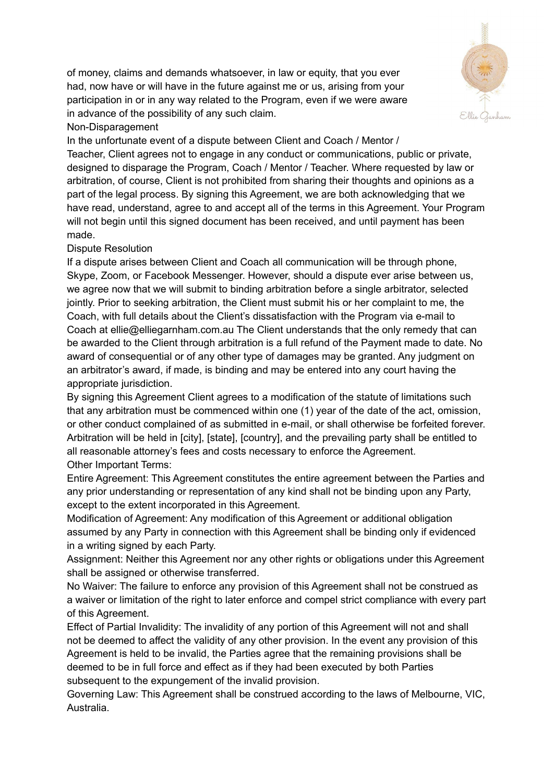of money, claims and demands whatsoever, in law or equity, that you ever had, now have or will have in the future against me or us, arising from your participation in or in any way related to the Program, even if we were aware in advance of the possibility of any such claim.



# Non-Disparagement

In the unfortunate event of a dispute between Client and Coach / Mentor / Teacher, Client agrees not to engage in any conduct or communications, public or private, designed to disparage the Program, Coach / Mentor / Teacher. Where requested by law or arbitration, of course, Client is not prohibited from sharing their thoughts and opinions as a part of the legal process. By signing this Agreement, we are both acknowledging that we have read, understand, agree to and accept all of the terms in this Agreement. Your Program will not begin until this signed document has been received, and until payment has been made.

## Dispute Resolution

If a dispute arises between Client and Coach all communication will be through phone, Skype, Zoom, or Facebook Messenger. However, should a dispute ever arise between us, we agree now that we will submit to binding arbitration before a single arbitrator, selected jointly. Prior to seeking arbitration, the Client must submit his or her complaint to me, the Coach, with full details about the Client's dissatisfaction with the Program via e-mail to Coach at ellie@elliegarnham.com.au The Client understands that the only remedy that can be awarded to the Client through arbitration is a full refund of the Payment made to date. No award of consequential or of any other type of damages may be granted. Any judgment on an arbitrator's award, if made, is binding and may be entered into any court having the appropriate jurisdiction.

By signing this Agreement Client agrees to a modification of the statute of limitations such that any arbitration must be commenced within one (1) year of the date of the act, omission, or other conduct complained of as submitted in e-mail, or shall otherwise be forfeited forever. Arbitration will be held in [city], [state], [country], and the prevailing party shall be entitled to all reasonable attorney's fees and costs necessary to enforce the Agreement. Other Important Terms:

Entire Agreement: This Agreement constitutes the entire agreement between the Parties and any prior understanding or representation of any kind shall not be binding upon any Party, except to the extent incorporated in this Agreement.

Modification of Agreement: Any modification of this Agreement or additional obligation assumed by any Party in connection with this Agreement shall be binding only if evidenced in a writing signed by each Party.

Assignment: Neither this Agreement nor any other rights or obligations under this Agreement shall be assigned or otherwise transferred.

No Waiver: The failure to enforce any provision of this Agreement shall not be construed as a waiver or limitation of the right to later enforce and compel strict compliance with every part of this Agreement.

Effect of Partial Invalidity: The invalidity of any portion of this Agreement will not and shall not be deemed to affect the validity of any other provision. In the event any provision of this Agreement is held to be invalid, the Parties agree that the remaining provisions shall be deemed to be in full force and effect as if they had been executed by both Parties subsequent to the expungement of the invalid provision.

Governing Law: This Agreement shall be construed according to the laws of Melbourne, VIC, Australia.